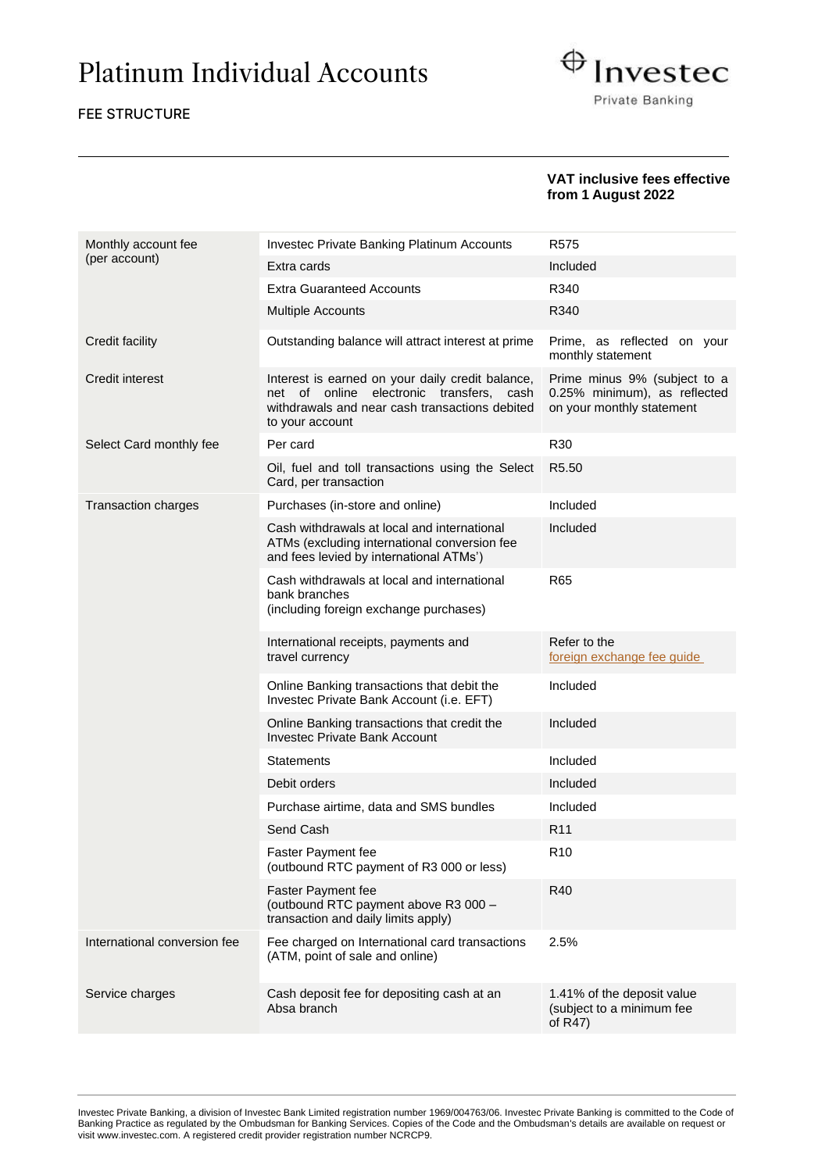# Platinum Individual Accounts

#### FEE STRUCTURE



#### **VAT inclusive fees effective from 1 August 2022**

| Monthly account fee          | Investec Private Banking Platinum Accounts                                                                                                                                 | R <sub>575</sub>                                                                          |
|------------------------------|----------------------------------------------------------------------------------------------------------------------------------------------------------------------------|-------------------------------------------------------------------------------------------|
| (per account)                | Extra cards                                                                                                                                                                | Included                                                                                  |
|                              | <b>Extra Guaranteed Accounts</b>                                                                                                                                           | R340                                                                                      |
|                              | Multiple Accounts                                                                                                                                                          | R340                                                                                      |
| Credit facility              | Outstanding balance will attract interest at prime                                                                                                                         | Prime, as reflected on your<br>monthly statement                                          |
| Credit interest              | Interest is earned on your daily credit balance,<br>electronic<br>transfers, cash<br>net of<br>online<br>withdrawals and near cash transactions debited<br>to your account | Prime minus 9% (subject to a<br>0.25% minimum), as reflected<br>on your monthly statement |
| Select Card monthly fee      | Per card                                                                                                                                                                   | R30                                                                                       |
|                              | Oil, fuel and toll transactions using the Select<br>Card, per transaction                                                                                                  | R <sub>5.50</sub>                                                                         |
| <b>Transaction charges</b>   | Purchases (in-store and online)                                                                                                                                            | Included                                                                                  |
|                              | Cash withdrawals at local and international<br>ATMs (excluding international conversion fee<br>and fees levied by international ATMs')                                     | Included                                                                                  |
|                              | Cash withdrawals at local and international<br>bank branches<br>(including foreign exchange purchases)                                                                     | <b>R65</b>                                                                                |
|                              | International receipts, payments and<br>travel currency                                                                                                                    | Refer to the<br>foreign exchange fee guide                                                |
|                              | Online Banking transactions that debit the<br>Investec Private Bank Account (i.e. EFT)                                                                                     | Included                                                                                  |
|                              | Online Banking transactions that credit the<br><b>Investec Private Bank Account</b>                                                                                        | Included                                                                                  |
|                              | Statements                                                                                                                                                                 | Included                                                                                  |
|                              | Debit orders                                                                                                                                                               | Included                                                                                  |
|                              | Purchase airtime, data and SMS bundles                                                                                                                                     | Included                                                                                  |
|                              | Send Cash                                                                                                                                                                  | R <sub>11</sub>                                                                           |
|                              | <b>Faster Payment fee</b><br>(outbound RTC payment of R3 000 or less)                                                                                                      | R <sub>10</sub>                                                                           |
|                              | <b>Faster Payment fee</b><br>(outbound RTC payment above R3 000 -<br>transaction and daily limits apply)                                                                   | R40                                                                                       |
| International conversion fee | Fee charged on International card transactions<br>(ATM, point of sale and online)                                                                                          | 2.5%                                                                                      |
| Service charges              | Cash deposit fee for depositing cash at an<br>Absa branch                                                                                                                  | 1.41% of the deposit value<br>(subject to a minimum fee<br>of $R47$ )                     |

Investec Private Banking, a division of Investec Bank Limited registration number 1969/004763/06. Investec Private Banking is committed to the Code of Banking Practice as regulated by the Ombudsman for Banking Services. Copies of the Code and the Ombudsman's details are available on request or visi[t www.investec.com.](http://www.investec.co.za/) A registered credit provider registration number NCRCP9.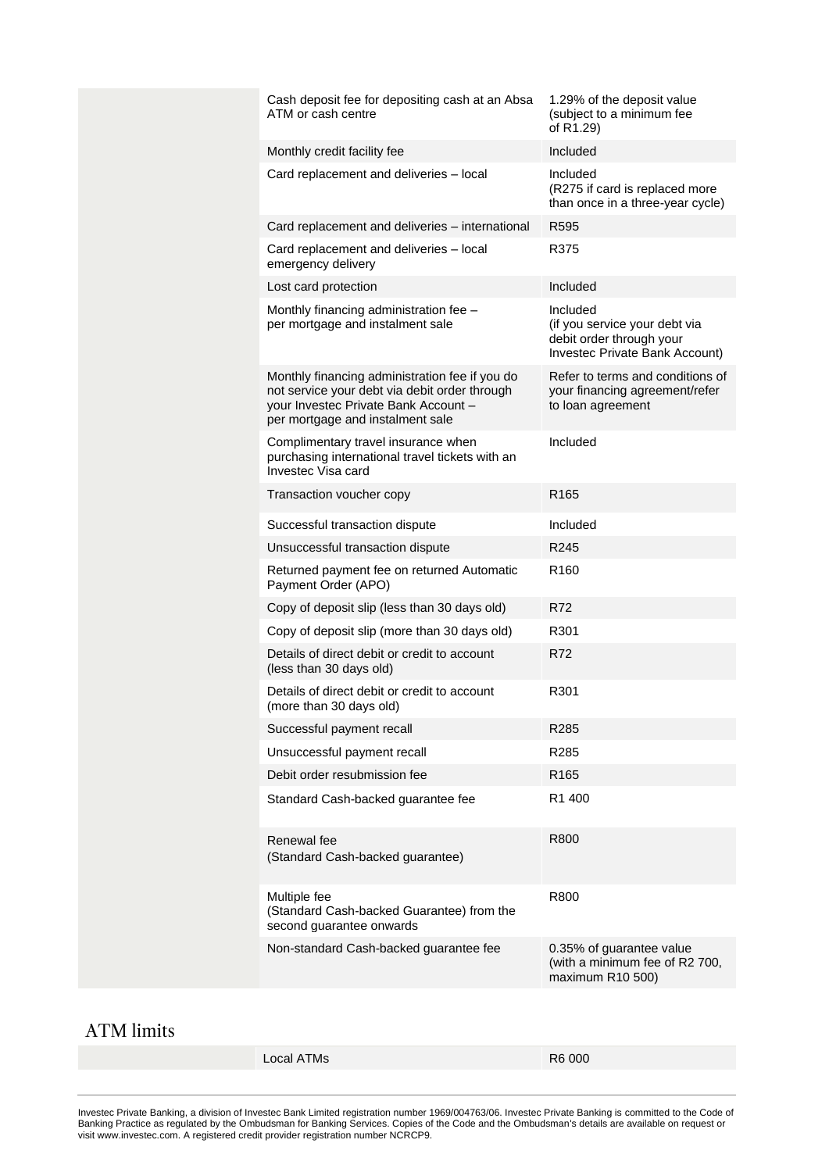| Cash deposit fee for depositing cash at an Absa<br>ATM or cash centre                                                                                                       | 1.29% of the deposit value<br>(subject to a minimum fee<br>of R1.29)                                    |  |
|-----------------------------------------------------------------------------------------------------------------------------------------------------------------------------|---------------------------------------------------------------------------------------------------------|--|
| Monthly credit facility fee                                                                                                                                                 | Included                                                                                                |  |
| Card replacement and deliveries - local                                                                                                                                     | Included<br>(R275 if card is replaced more<br>than once in a three-year cycle)                          |  |
| Card replacement and deliveries - international                                                                                                                             | R595                                                                                                    |  |
| Card replacement and deliveries - local<br>emergency delivery                                                                                                               | R375                                                                                                    |  |
| Lost card protection                                                                                                                                                        | Included                                                                                                |  |
| Monthly financing administration fee -<br>per mortgage and instalment sale                                                                                                  | Included<br>(if you service your debt via<br>debit order through your<br>Investec Private Bank Account) |  |
| Monthly financing administration fee if you do<br>not service your debt via debit order through<br>your Investec Private Bank Account -<br>per mortgage and instalment sale | Refer to terms and conditions of<br>your financing agreement/refer<br>to loan agreement                 |  |
| Complimentary travel insurance when<br>purchasing international travel tickets with an<br>Investec Visa card                                                                | Included                                                                                                |  |
| Transaction voucher copy                                                                                                                                                    | R <sub>165</sub>                                                                                        |  |
| Successful transaction dispute                                                                                                                                              | Included                                                                                                |  |
| Unsuccessful transaction dispute                                                                                                                                            | R <sub>245</sub>                                                                                        |  |
| Returned payment fee on returned Automatic<br>Payment Order (APO)                                                                                                           | R <sub>160</sub>                                                                                        |  |
| Copy of deposit slip (less than 30 days old)                                                                                                                                | <b>R72</b>                                                                                              |  |
| Copy of deposit slip (more than 30 days old)                                                                                                                                | R301                                                                                                    |  |
| Details of direct debit or credit to account<br>(less than 30 days old)                                                                                                     | R72                                                                                                     |  |
| Details of direct debit or credit to account<br>(more than 30 days old)                                                                                                     | R301                                                                                                    |  |
| Successful payment recall                                                                                                                                                   | R <sub>285</sub>                                                                                        |  |
| Unsuccessful payment recall                                                                                                                                                 | R285                                                                                                    |  |
| Debit order resubmission fee                                                                                                                                                | R <sub>165</sub>                                                                                        |  |
| Standard Cash-backed guarantee fee                                                                                                                                          | R <sub>1</sub> 400                                                                                      |  |
| Renewal fee<br>(Standard Cash-backed guarantee)                                                                                                                             | R800                                                                                                    |  |
| Multiple fee<br>(Standard Cash-backed Guarantee) from the<br>second guarantee onwards                                                                                       | R800                                                                                                    |  |
| Non-standard Cash-backed guarantee fee                                                                                                                                      | 0.35% of guarantee value<br>(with a minimum fee of R2 700,<br>maximum R10 500)                          |  |
|                                                                                                                                                                             |                                                                                                         |  |

## ATM limits

| Local ATMs | R6 000 |
|------------|--------|
|            |        |

Investec Private Banking, a division of Investec Bank Limited registration number 1969/004763/06. Investec Private Banking is committed to the Code of Banking Practice as regulated by the Ombudsman for Banking Services. Copies of the Code and the Ombudsman's details are available on request or visi[t www.investec.com.](http://www.investec.co.za/) A registered credit provider registration number NCRCP9.